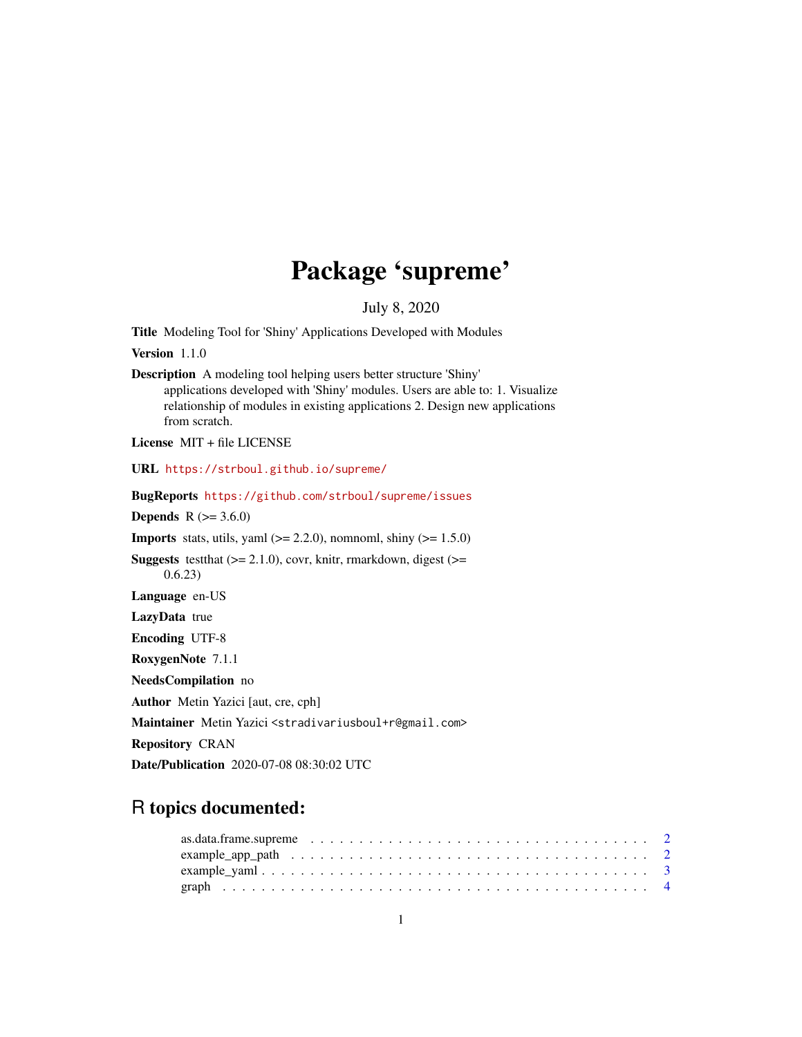## Package 'supreme'

July 8, 2020

Title Modeling Tool for 'Shiny' Applications Developed with Modules

Version 1.1.0

Description A modeling tool helping users better structure 'Shiny' applications developed with 'Shiny' modules. Users are able to: 1. Visualize relationship of modules in existing applications 2. Design new applications from scratch.

License MIT + file LICENSE

URL <https://strboul.github.io/supreme/>

BugReports <https://github.com/strboul/supreme/issues>

**Depends** R  $(>= 3.6.0)$ 

**Imports** stats, utils, yaml  $(>= 2.2.0)$ , nomnoml, shiny  $(>= 1.5.0)$ 

**Suggests** test that  $(>= 2.1.0)$ , covr, knitr, rmarkdown, digest  $(>=$ 0.6.23)

Language en-US

LazyData true

Encoding UTF-8

RoxygenNote 7.1.1

NeedsCompilation no

Author Metin Yazici [aut, cre, cph]

Maintainer Metin Yazici <stradivariusboul+r@gmail.com>

Repository CRAN

Date/Publication 2020-07-08 08:30:02 UTC

## R topics documented: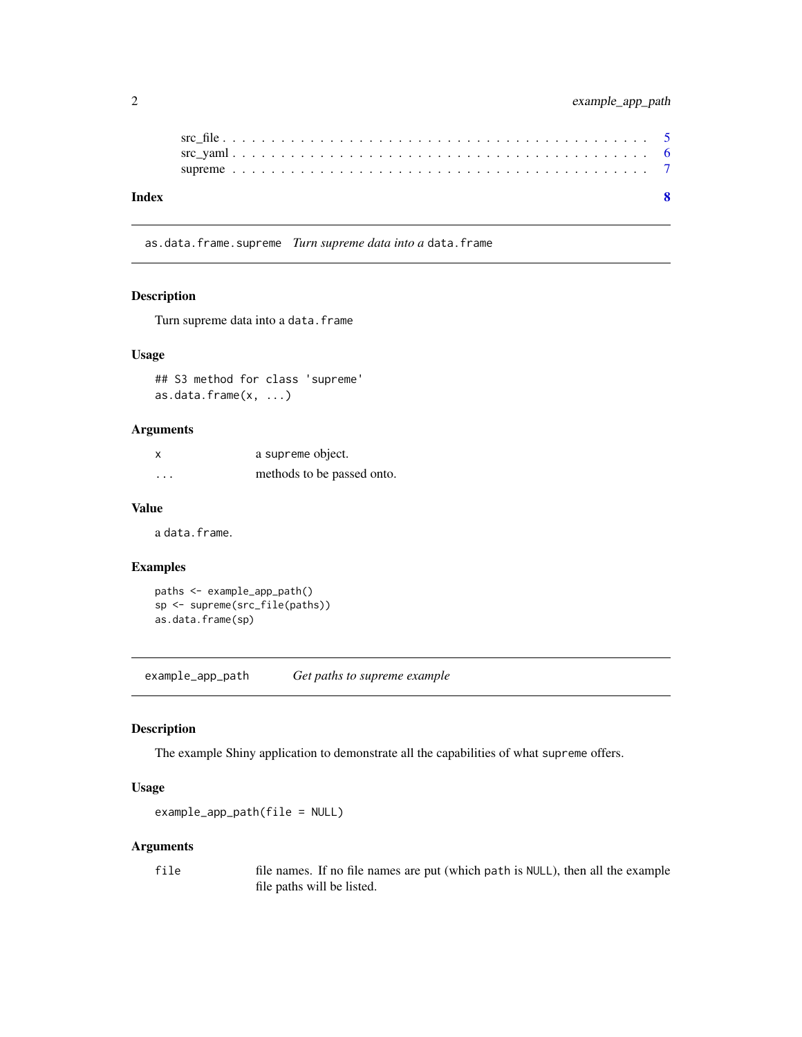<span id="page-1-0"></span>

| Index |  |  |  |  |  |  |  |  |  |  |  |  |  |  |  |  |  |  |  |  |
|-------|--|--|--|--|--|--|--|--|--|--|--|--|--|--|--|--|--|--|--|--|
|       |  |  |  |  |  |  |  |  |  |  |  |  |  |  |  |  |  |  |  |  |
|       |  |  |  |  |  |  |  |  |  |  |  |  |  |  |  |  |  |  |  |  |
|       |  |  |  |  |  |  |  |  |  |  |  |  |  |  |  |  |  |  |  |  |

as.data.frame.supreme *Turn supreme data into a* data.frame

#### Description

Turn supreme data into a data.frame

#### Usage

## S3 method for class 'supreme' as.data.frame(x, ...)

#### Arguments

| x                       | a supreme object.          |
|-------------------------|----------------------------|
| $\cdot$ $\cdot$ $\cdot$ | methods to be passed onto. |

#### Value

a data.frame.

#### Examples

```
paths <- example_app_path()
sp <- supreme(src_file(paths))
as.data.frame(sp)
```
<span id="page-1-1"></span>example\_app\_path *Get paths to supreme example*

#### Description

The example Shiny application to demonstrate all the capabilities of what supreme offers.

#### Usage

```
example_app_path(file = NULL)
```
#### Arguments

file file names. If no file names are put (which path is NULL), then all the example file paths will be listed.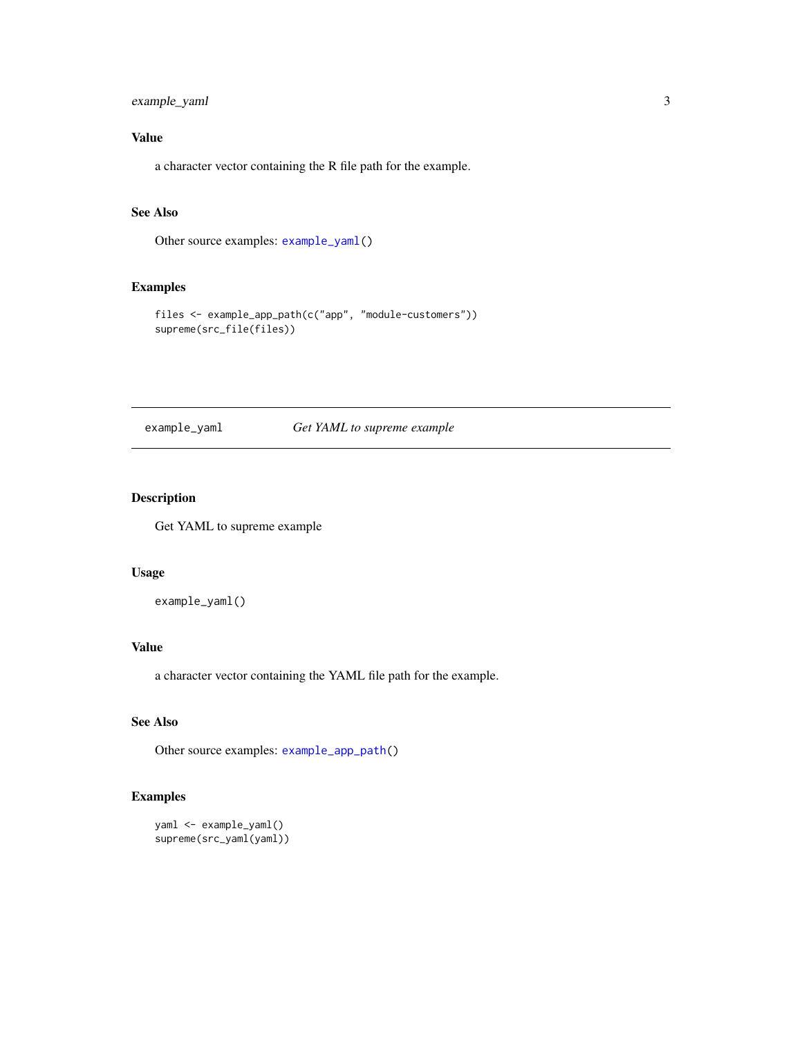#### <span id="page-2-0"></span>example\_yaml 3

#### Value

a character vector containing the R file path for the example.

#### See Also

Other source examples: [example\\_yaml\(](#page-2-1))

#### Examples

```
files <- example_app_path(c("app", "module-customers"))
supreme(src_file(files))
```
<span id="page-2-1"></span>example\_yaml *Get YAML to supreme example*

#### Description

Get YAML to supreme example

#### Usage

example\_yaml()

#### Value

a character vector containing the YAML file path for the example.

#### See Also

Other source examples: [example\\_app\\_path\(](#page-1-1))

```
yaml <- example_yaml()
supreme(src_yaml(yaml))
```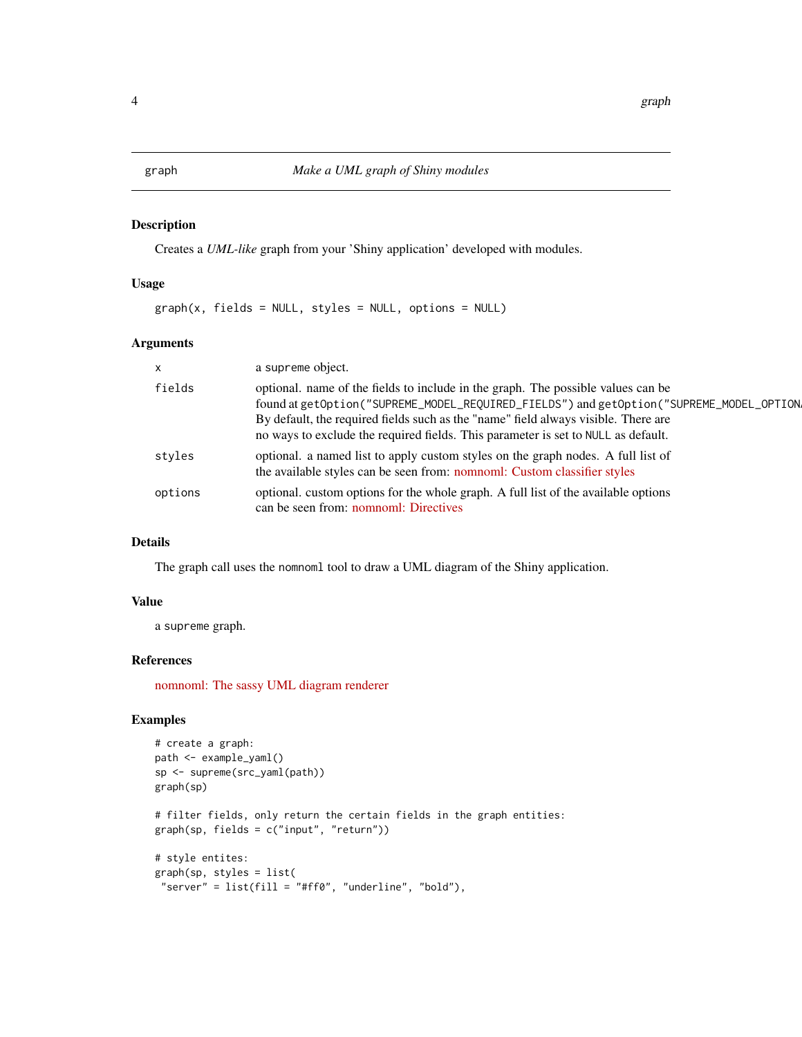#### <span id="page-3-0"></span>Description

Creates a *UML-like* graph from your 'Shiny application' developed with modules.

#### Usage

 $graph(x, fields = NULL, styles = NULL, options = NULL)$ 

#### Arguments

| $\mathsf{x}$ | a supreme object.                                                                                                                                                                                                                                                                                                                                       |
|--------------|---------------------------------------------------------------------------------------------------------------------------------------------------------------------------------------------------------------------------------------------------------------------------------------------------------------------------------------------------------|
| fields       | optional, name of the fields to include in the graph. The possible values can be<br>found at getOption("SUPREME_MODEL_REQUIRED_FIELDS") and getOption("SUPREME_MODEL_OPTION,<br>By default, the required fields such as the "name" field always visible. There are<br>no ways to exclude the required fields. This parameter is set to NULL as default. |
| styles       | optional. a named list to apply custom styles on the graph nodes. A full list of<br>the available styles can be seen from: nomnoml: Custom classifier styles                                                                                                                                                                                            |
| options      | optional. custom options for the whole graph. A full list of the available options<br>can be seen from: nomnoml: Directives                                                                                                                                                                                                                             |

#### Details

The graph call uses the nomnoml tool to draw a UML diagram of the Shiny application.

#### Value

a supreme graph.

#### References

[nomnoml: The sassy UML diagram renderer](https://github.com/skanaar/nomnoml)

```
# create a graph:
path <- example_yaml()
sp <- supreme(src_yaml(path))
graph(sp)
# filter fields, only return the certain fields in the graph entities:
graph(sp, fields = c("input", "return"))
# style entites:
graph(sp, styles = list(
 "server" = list(fill = "#ff0", "underline", "bold"),
```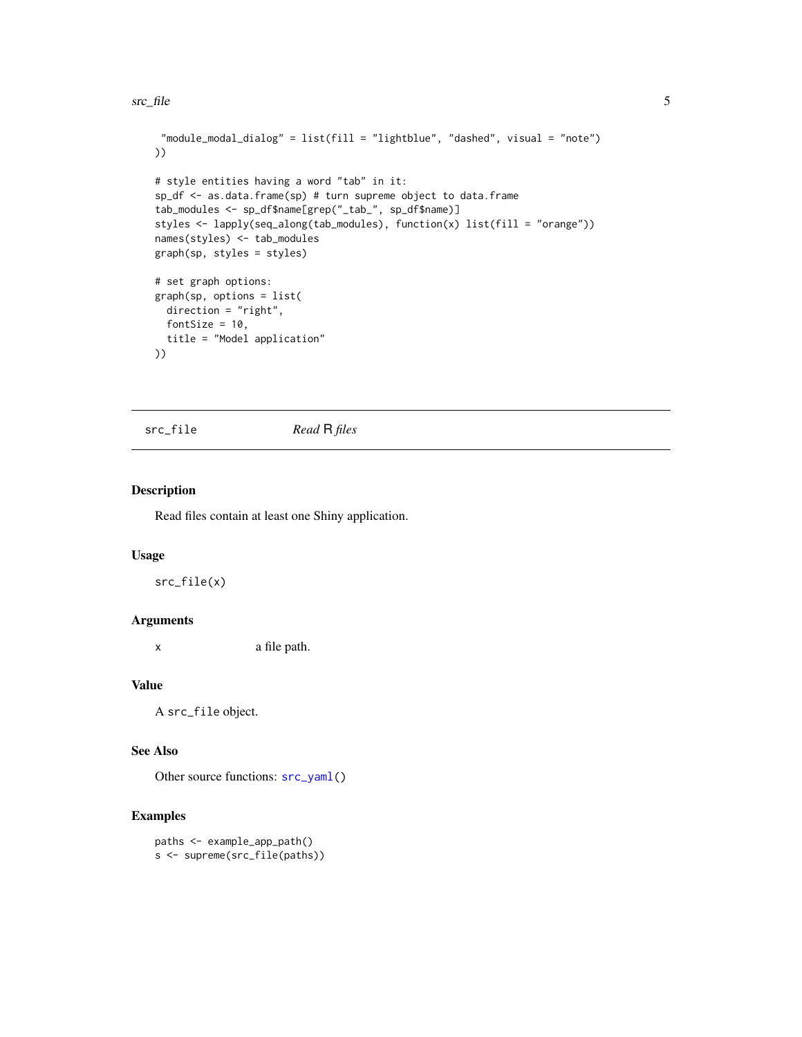```
"module_modal_dialog" = list(fill = "lightblue", "dashed", visual = "note")
))
# style entities having a word "tab" in it:
sp_df <- as.data.frame(sp) # turn supreme object to data.frame
tab_modules <- sp_df$name[grep("_tab_", sp_df$name)]
styles <- lapply(seq_along(tab_modules), function(x) list(fill = "orange"))
names(styles) <- tab_modules
graph(sp, styles = styles)
# set graph options:
graph(sp, options = list(
  direction = "right",
  fontSize = 10,
  title = "Model application"
))
```
<span id="page-4-1"></span>src\_file *Read* R *files*

#### Description

Read files contain at least one Shiny application.

#### Usage

src\_file(x)

#### Arguments

x a file path.

#### Value

A src\_file object.

#### See Also

Other source functions:  $src\_yaml()$ 

```
paths <- example_app_path()
s <- supreme(src_file(paths))
```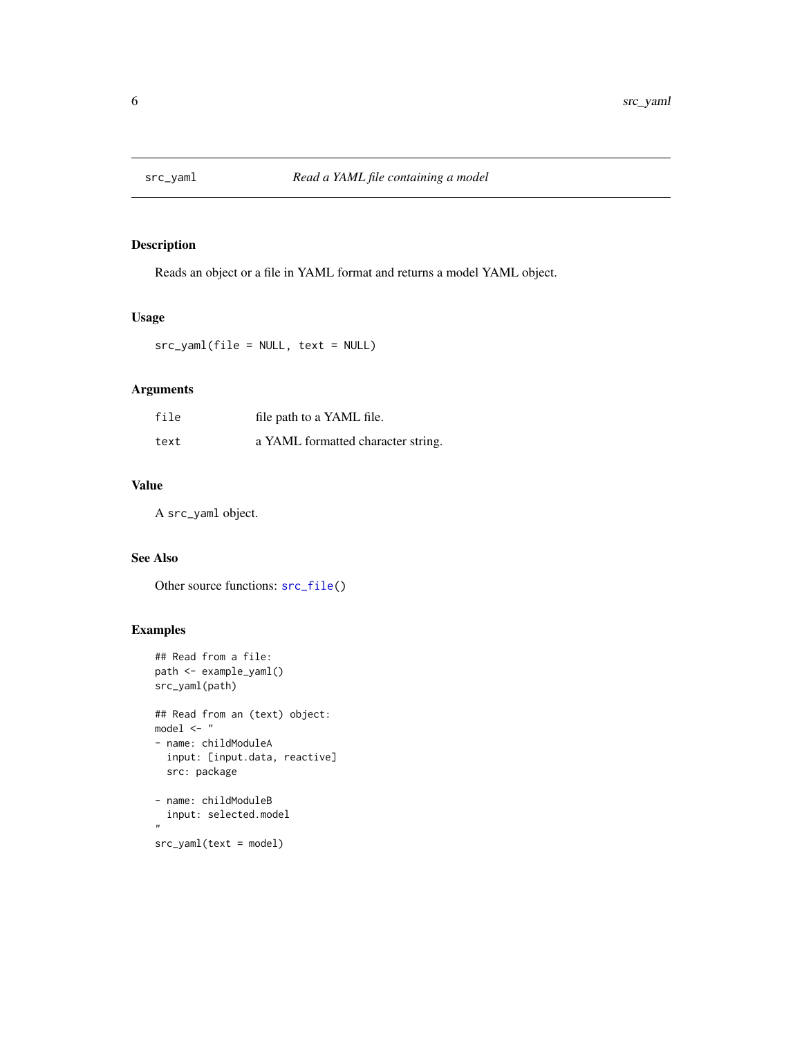<span id="page-5-1"></span><span id="page-5-0"></span>

#### Description

Reads an object or a file in YAML format and returns a model YAML object.

#### Usage

src\_yaml(file = NULL, text = NULL)

#### Arguments

| file | file path to a YAML file.          |
|------|------------------------------------|
| text | a YAML formatted character string. |

#### Value

A src\_yaml object.

#### See Also

Other source functions: [src\\_file\(](#page-4-1))

```
## Read from a file:
path <- example_yaml()
src_yaml(path)
## Read from an (text) object:
model <- "
- name: childModuleA
  input: [input.data, reactive]
  src: package
- name: childModuleB
  input: selected.model
\mathbf{u}
```

```
src_yaml(text = model)
```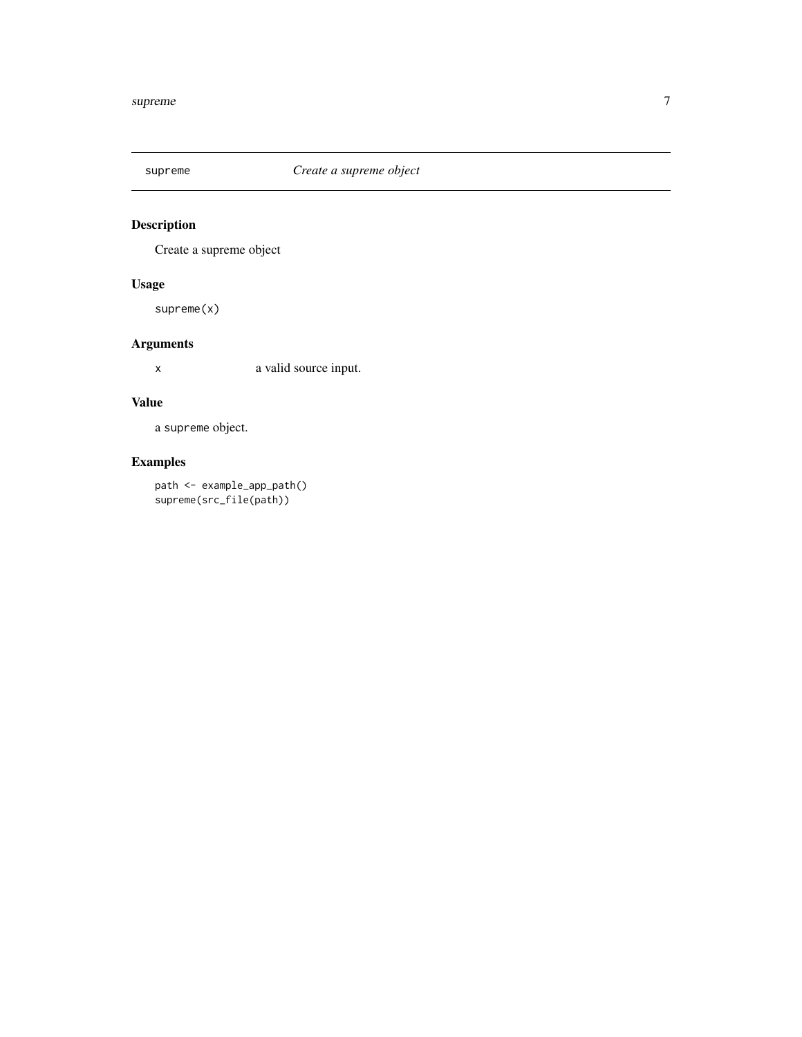<span id="page-6-0"></span>

## Description

Create a supreme object

#### Usage

supreme(x)

#### Arguments

x a valid source input.

#### Value

a supreme object.

## Examples

path <- example\_app\_path() supreme(src\_file(path))